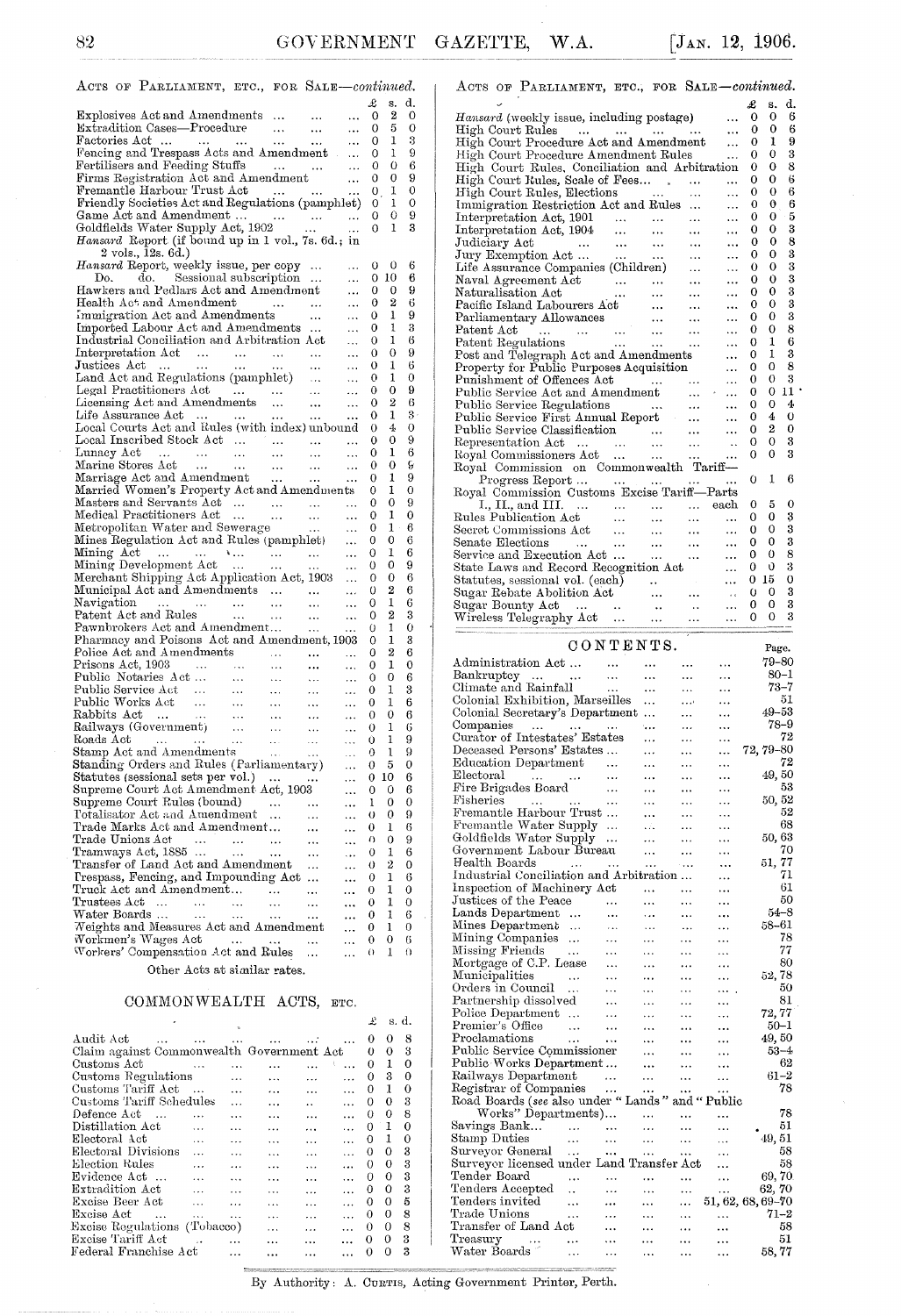| ACTS OF PARLIAMENT, ETC., FOR SALE-continued.                                                       |                                    |                                                                                                               |                              |                                  |         |        |                |  |
|-----------------------------------------------------------------------------------------------------|------------------------------------|---------------------------------------------------------------------------------------------------------------|------------------------------|----------------------------------|---------|--------|----------------|--|
|                                                                                                     |                                    |                                                                                                               |                              |                                  | £       | s.     | d.             |  |
| Explosives Act and Amendments                                                                       |                                    |                                                                                                               | $\cdots$                     |                                  | 0       | 2      | 0              |  |
| Extradition Cases—Procedure<br>Factories Act                                                        |                                    |                                                                                                               | $\sim$ . $\sim$              | $\ddotsc$                        | 0       | 5      | 0              |  |
|                                                                                                     |                                    | $\mathbf{1}_{\mathbf{1}}$ , $\mathbf{1}_{\mathbf{1}}$ , $\mathbf{1}_{\mathbf{1}}$ , $\mathbf{1}_{\mathbf{1}}$ |                              | $\cdots$                         | 0       | ı      | 3              |  |
| Fencing and Trespass Acts and Amendment                                                             |                                    |                                                                                                               |                              | 444                              | 0       | 1      | 9              |  |
| Fertilisers and Feeding Stuffs                                                                      |                                    | المنتقل المتناول                                                                                              |                              | $\sim 100$                       | 0       | 0      | 6              |  |
|                                                                                                     |                                    |                                                                                                               |                              |                                  | 0       | 0      | 9              |  |
|                                                                                                     |                                    |                                                                                                               |                              |                                  | 0       | 1      | 0              |  |
| Friendly Societies Act and Regulations (pamphlet)                                                   |                                    |                                                                                                               |                              |                                  | 0       | 1      | 0<br>9         |  |
| Game Act and Amendment<br>Goldfields Water Supply Act, 1902                                         |                                    |                                                                                                               |                              |                                  | 0<br>0  | 0<br>ı | 3              |  |
| Hansard Report (if bound up in 1 vol., 7s. 6d.; in                                                  |                                    |                                                                                                               |                              |                                  |         |        |                |  |
| 2 vols., 12s. 6d.)                                                                                  |                                    |                                                                                                               |                              |                                  |         |        |                |  |
| Hansard Report, weekly issue, per copy                                                              |                                    |                                                                                                               |                              | $\ddotsc$                        | 0       | 0      | 6              |  |
| do. Sessional subscription<br>Do.                                                                   |                                    |                                                                                                               |                              | $\ddotsc$                        | 0.      | 10     | 6              |  |
| Hawkers and Pedlars Act and Amendment                                                               |                                    |                                                                                                               |                              | $\ddotsc$                        | 0       | 0      | 9              |  |
|                                                                                                     |                                    |                                                                                                               |                              | $\ddotsc$                        | 0       | 2      | 6              |  |
| mealth Act and Amendment<br>Immigration Act and Amendments                                          |                                    |                                                                                                               | $\cdots$                     | $\ldots$                         | 0       | ı      | 9              |  |
| Imported Labour Act and Amendments                                                                  |                                    |                                                                                                               |                              | $\ddotsc$                        | 0       | 1      | 3              |  |
| Industrial Conciliation and Arbitration Act                                                         |                                    |                                                                                                               |                              | $\ddotsc$                        | 0       | 1      | 6              |  |
| Interpretation Act                                                                                  |                                    |                                                                                                               | $\sim 1.4\, \mathrm{m}^{-1}$ | $\ddotsc$                        | 0       | 0      | 9              |  |
| Justices Act<br>Justices Act         Land Act and Regulations (pamphlet)<br>Legal Practitioners Act |                                    |                                                                                                               |                              | $\ddotsc$                        | 0       | 1      | 6              |  |
|                                                                                                     |                                    |                                                                                                               |                              | $\ddotsc$                        | 0       | 1      | 0              |  |
|                                                                                                     |                                    |                                                                                                               |                              | $\ddotsc$                        | 0       | 0      | 9              |  |
| Licensing Act and Amendments<br>Life Assurance Act                                                  |                                    |                                                                                                               |                              | $\ddotsc$                        | 0       | 2      | 6<br>$3 \cdot$ |  |
| Local Courts Act and Rules (with index) unbound                                                     |                                    |                                                                                                               |                              |                                  | 0       | 1<br>4 | 0              |  |
| Local Inscribed Stock Act                                                                           |                                    |                                                                                                               |                              |                                  | 0<br>0  | 0      | 9              |  |
|                                                                                                     |                                    |                                                                                                               |                              |                                  | 0       | 1      | 6              |  |
| Lunacy Act<br>Marine Stores Act<br>Marriage Act and Amendment                                       |                                    |                                                                                                               |                              | $\cdots$<br>$\ddotsc$            | 0       | 0      | S              |  |
|                                                                                                     |                                    |                                                                                                               |                              | $\ldots$                         | 0       | 1      | 9              |  |
| Married Women's Property Act and Amendments                                                         |                                    |                                                                                                               |                              |                                  | 0       | 1      | 0              |  |
| Masters and Servants Act                                                                            |                                    |                                                                                                               |                              |                                  | 0       | 0      | 9              |  |
| Medical Practitioners Act                                                                           |                                    |                                                                                                               |                              | $\ldots$                         | 0       | 1      | 0              |  |
| Medical Practitioners Act<br>Metropolitan Water and Sewerage                                        |                                    |                                                                                                               |                              | $\ldots$                         | 0       | 1      | 6              |  |
| Mines Regulation Act and Rules (pamphlet)                                                           |                                    |                                                                                                               |                              | $\ldots$                         | 0       | 0      | 6              |  |
| Mining Act<br>Mining Development Act                                                                |                                    |                                                                                                               |                              | $\ddotsc$                        | 0       | 1      | 6              |  |
|                                                                                                     |                                    |                                                                                                               |                              | $\ddotsc$                        | 0       | 0      | 9              |  |
| Merchant Shipping Act Application Act, 1903                                                         |                                    |                                                                                                               |                              | $\ddotsc$                        | 0       | 0      | 6              |  |
| Municipal Act and Amendments                                                                        |                                    |                                                                                                               |                              | $\ddot{\phantom{0}}$             | 0       | 2      | 6              |  |
| Navigation<br>$\begin{array}{ccc}\n &  &  & \n\text{and Rules} &  & \n\end{array}$                  |                                    | $\sim 100$ km s $^{-1}$                                                                                       | $\cdots$                     | $\ddotsc$                        | 0       | 1      | 6              |  |
| Patent Act and Rules                                                                                |                                    |                                                                                                               | $\sim 100$                   | $\ddotsc$                        | 0       | 2      | 3              |  |
| Pawnbrokers Act and Amendment                                                                       |                                    |                                                                                                               |                              | $\ldots$                         | 0       | 1      | 0              |  |
| Pharmacy and Poisons Act and Amendment, 1903<br>Police Act and Amendments                           |                                    |                                                                                                               |                              |                                  | 0       | 1<br>2 | 3<br>6         |  |
| Prisons Act, 1903                                                                                   |                                    |                                                                                                               | $\cdots$                     | $\ddotsc$                        | 0<br>0  | 1      | 0              |  |
|                                                                                                     |                                    | $\Delta\Delta\Delta\approx 0$<br>$\mathbf{1}$ , $\mathbf{1}$ , $\mathbf{1}$                                   | $\cdots$<br>$\sim$ $\sim$    | $\ddotsc$                        | 0       | 0      | 6              |  |
| Public Notaries Act<br>Public Service Act                                                           | $\frac{1}{\sqrt{2}}$<br>$\sim 100$ | $\sim 100$ $\sim$                                                                                             | $\sim 100$                   | $\sim$ $\sim$ $\sim$<br>$\ldots$ | 0       | 1      | 3              |  |
|                                                                                                     |                                    |                                                                                                               |                              | $\ldots$                         | 0       | 1      | 6              |  |
|                                                                                                     |                                    |                                                                                                               |                              | $\ldots$                         | 0       | 0      | 6              |  |
|                                                                                                     |                                    |                                                                                                               |                              | $\ldots$                         | 0       | 1      | 6              |  |
|                                                                                                     |                                    |                                                                                                               |                              | $\ldots$                         | 0       | 1      | 9              |  |
|                                                                                                     |                                    |                                                                                                               |                              | $\ldots$                         | 0       | 1      | 9              |  |
|                                                                                                     |                                    |                                                                                                               |                              | $\ldots$                         | 0       | 5      | 0              |  |
| Statutes (sessional sets per vol.)                                                                  |                                    |                                                                                                               |                              | .                                | $0\,10$ |        | 6              |  |
| Supreme Court Act Amendment Act, 1903                                                               |                                    |                                                                                                               |                              |                                  | 0       | 0      | 6              |  |
| Supreme Court Rules (bound)                                                                         |                                    |                                                                                                               |                              | .                                | 1       | 0      | 0              |  |
| Totalisator Act and Amendment                                                                       |                                    | $\ddotsc$                                                                                                     |                              | $\cdots$                         | O       | 0      | 9              |  |
| Trade Marks Act and Amendment                                                                       |                                    |                                                                                                               |                              |                                  | 0       | ı      | 6              |  |
| Trade Unions Act<br>$\ldots$                                                                        | $\cdots$                           | $\cdots$                                                                                                      |                              |                                  | O       | 0      | 9              |  |
| Tramways Act, 1885                                                                                  | $\ldots$                           | $\ddotsc$                                                                                                     |                              | $\ddotsc$                        | 0       | 1      | 6              |  |
| Transfer of Land Act and Amendment                                                                  |                                    |                                                                                                               | .                            |                                  | 0       | 2<br>ı | 0              |  |
| Trespass, Fencing, and Impounding Act                                                               |                                    |                                                                                                               |                              |                                  | 0       |        | 6              |  |
| Truck Act and Amendment<br>Trustees Act<br>.                                                        |                                    |                                                                                                               |                              | .                                | 0<br>0  | 1<br>1 | 0<br>0         |  |
| Water Boards<br>$\sim$ .                                                                            | $\ddotsc$                          | .                                                                                                             |                              |                                  | 0       | 1      | 6              |  |
| Weights and Measures Act and Amendment                                                              | $\epsilon \sim \epsilon$           |                                                                                                               |                              | .                                | 0       | ı      | 0              |  |
| Workmen's Wages Act                                                                                 | $\ldots$                           |                                                                                                               | .                            | .                                | 0       | 0      | 6              |  |
| Workers' Compensation Act and Rules                                                                 |                                    |                                                                                                               | .                            | .                                | 0       | 1      | 0              |  |
| Other Acts at similar rates.                                                                        |                                    |                                                                                                               |                              |                                  |         |        |                |  |
|                                                                                                     |                                    |                                                                                                               |                              |                                  |         |        |                |  |

### COMMONWEALTH ACTS, ETC.

|                                           |          |                                     |                      |                          |           |          | - s. a. |   |
|-------------------------------------------|----------|-------------------------------------|----------------------|--------------------------|-----------|----------|---------|---|
| Audit Act<br>$\cdots$                     | $\cdots$ | <b><i>Charles College State</i></b> | $\cdots$             | <b>Contract Contract</b> |           | 0        | O       | 8 |
| Claim against Commonwealth Government Act |          |                                     |                      |                          |           | 0        | O       | 3 |
| Customs Act                               |          |                                     |                      |                          |           | 0        | 1       | 0 |
| Customs Regulations                       |          | $\ddotsc$                           | $\ddotsc$            | $\cdots$                 | $\cdots$  | $\Omega$ | 3       | 0 |
| Customs Tariff Act                        |          | $\ddotsc$                           | .                    | $\cdots$                 | $\cdots$  | 0        | 1       | 0 |
| Customs Tariff Schedules                  |          | $\cdots$                            | $\ddotsc$            | $\ddot{\phantom{a}}$     | $\cdots$  | 0        | 0       | 3 |
| Defence Act                               |          | .                                   | $\ddotsc$            | $\cdots$                 | $\cdot$   | 0        | 0       | 8 |
| Distillation Act                          |          | .                                   | .                    | $\cdots$                 |           | 0        | ı       | 0 |
| Electoral Act                             | $\cdots$ | $\cdots$                            | $\ddotsc$            | $\cdots$                 | $\cdots$  | 0        | 1       | 0 |
| Electoral Divisions                       |          | $\sim$                              | $\ddotsc$            | $\ddotsc$                | $\ddotsc$ | 0        | 0       | 3 |
| Election Rules                            | .        | .                                   | $\ddotsc$            | $\cdots$                 |           | 0        | 0       | 3 |
| Evidence Act                              | $\cdots$ | $\cdots$                            | $\ddot{\phantom{a}}$ | $\ddotsc$                |           | 0        | 0       | 3 |
| Extradition Act                           | $\cdots$ | $\cdots$                            |                      | $\ddotsc$                |           | 0        | 0       | 3 |
| Excise Beer Act                           |          |                                     | $\cdots$             | $\ddotsc$                | $\ddotsc$ | 0        | 0       | 5 |
| Excise Act                                | $\cdots$ | $\cdots$                            |                      |                          | $\ddotsc$ | 0        | 0       | 8 |
| Excise Regulations (Tobacco)              |          |                                     | $\ddotsc$            | $\cdots$                 | .         | $_{0}$   | 0       | 8 |
| Excise Tariff Act                         |          |                                     |                      | .                        |           | 0        | 0       | 3 |
| Federal Franchise Act                     |          |                                     |                      | $\cdots$                 | $\cdots$  |          | 0       | 3 |

| ACTS OF PARLIAMENT, ETC., FOR SALE-continued.                                                                                       |   |                |                |
|-------------------------------------------------------------------------------------------------------------------------------------|---|----------------|----------------|
|                                                                                                                                     | £ | s.             | d.             |
| <i>Hansard</i> (weekly issue, including postage)                                                                                    | 0 | 0              | 6              |
| High Court Rules<br>.                                                                                                               | 0 | 0              | 6              |
| High Court Procedure Act and Amendment<br>.                                                                                         | 0 | 1              | 9              |
| High Court Procedure Amendment Rules<br>$\ddotsc$                                                                                   | 0 | 0              | 3              |
| High Court Rules, Conciliation and Arbitration                                                                                      | 0 | 0              | 8              |
| High Court Rules, Scale of Fees<br>$\mathbf{r}$<br>.                                                                                | 0 | 0              | 6              |
| High Court Rules, Elections<br><b>Contractor</b><br>.<br>.                                                                          | 0 | 0              | 6              |
| Immigration Restriction Act and Rules<br>.<br>$\ddotsc$                                                                             | 0 | 0              | 6              |
| Interpretation Act, 1901<br>$\sim$ $\sim$<br>.                                                                                      | 0 | 0              | 5              |
| Interpretation Act, 1904<br>$\cdots$<br><br><br>$\ddotsc$                                                                           | 0 | 0              | 3              |
| Judiciary Act<br>$\ddotsc$<br>.<br>.                                                                                                | 0 | 0              | 8              |
| Judiciary Act<br>Jury Exemption Act<br>$\ldots$<br>.<br>$\cdots$                                                                    | 0 | 0              | 3              |
| Life Assurance Companies (Children)<br><br>                                                                                         | О | 0              | 3              |
| Naval Agreement Act<br>.<br>$\sim$ $\sim$<br>$\ddotsc$                                                                              | 0 | 0              | 3              |
| $\frac{1}{2}$<br>Naturalisation Act<br>$\ldots$<br>$\ddotsc$<br>$\ddotsc$<br>$\cdots$                                               | 0 | 0              | 3              |
| Pacific Island Labourers Act<br>$\ddotsc$<br>.<br>$\cdots$                                                                          | 0 | 0              | 3              |
| Parliamentary Allowances<br>.                                                                                                       | 0 | 0              | 3              |
| $\begin{array}{ccc}\nJ & \text{and}\\ \cdots & \cdots & \cdots & \cdots\n\end{array}$<br>Patent Act<br><br>.                        | 0 | 0              | 8              |
| Patent Regulations<br>$\mathcal{L}_{\mathbf{A}}$ and $\mathcal{L}_{\mathbf{A}}$ and $\mathcal{L}_{\mathbf{A}}$ and<br>$\ldots$<br>. | 0 | 1              | 6              |
| Post and Telegraph Act and Amendments                                                                                               | 0 | 1              | 3              |
| Property for Public Purposes Acquisition<br>.                                                                                       | 0 | 0              | 8              |
| Punishment of Offences Act<br>$\cdots$<br>$\cdots$                                                                                  | 0 | 0              | 3              |
| Public Service Act and Amendment<br>$\cdots$                                                                                        | 0 | 0              | 11             |
| Public Service Regulations<br><b>Contractor</b><br>$\ddotsc$                                                                        | 0 | 0              | 4              |
| Public Service First Annual Report                                                                                                  | 0 | 4              | 0              |
|                                                                                                                                     | 0 | $\overline{2}$ | $\bf{0}$       |
| r upine Service Classification<br>Representation Act<br>$\ddotsc$<br>$\ddot{\phantom{a}}$                                           | 0 | 0              | 3              |
| Royal Commissioners Act<br>$\ddotsc$<br>                                                                                            | 0 | 0              | 3              |
| Royal Commission on Commonwealth Tariff-                                                                                            |   |                |                |
| Progress Report<br>                                                                                                                 | 0 | 1              | 6              |
| Royal Commission Customs Excise Tariff-Parts                                                                                        |   |                |                |
| each<br>I., II., and III.<br>and a series of the con-<br>$\cdots$                                                                   | 0 | 5              | 0              |
| Rules Publication Act<br>$\ddotsc$<br>$\ddotsc$<br>.                                                                                | 0 | 0              | 3              |
| Secret Commissions Act<br>$\ddotsc$<br>$\cdots$<br>$\ddotsc$                                                                        | 0 | 0              | 3              |
| Senate Elections<br>للمراد المبرد<br>$\sim 100$ and $\sim 100$<br>$\cdots$<br>$\cdots$                                              | 0 | 0              | 3              |
| Service and Execution Act<br>$\cdots$<br>.<br>$\cdots$                                                                              | 0 | 0              | 8              |
| State Laws and Record Recognition Act<br>.                                                                                          | 0 | Ú              | 3              |
| Statutes, sessional vol. (each)<br>$\ddot{\phantom{a}}$<br>$\ddotsc$                                                                | 0 | 15             | $\overline{0}$ |
| Sugar Rebate Abolition Act<br>.<br>$\cdots$<br>$\mathbf{r}$                                                                         | 0 | 0              | 3              |
| Sugar Bounty Act<br><br>$\ddotsc$<br>$\ddotsc$                                                                                      | 0 | 0              | 3              |
| Wireless Telegraphy Act<br>$\cdots$<br>$\cdots$<br>.                                                                                | о | 0              | 3              |

### $\hbox{\tt CONTENTS}.$

|                                           |                              | CONTENTS. |           |                |               | Page.             |          |
|-------------------------------------------|------------------------------|-----------|-----------|----------------|---------------|-------------------|----------|
| Administration Act                        |                              | $\cdots$  |           | .              |               | 79–80             |          |
| Bankruptcy<br>$\cdots$                    | $\sim$ 100 $\sim$ 100 $\sim$ | $\ddotsc$ |           | .              | $\ddotsc$     |                   | 80–1     |
| Climate and Rainfall                      |                              |           | $\ddotsc$ |                | .             |                   | 73–7     |
| Colonial Exhibition, Marseilles           |                              |           | .         | د.             | .             |                   | 51       |
| Colonial Secretary's Department           |                              |           | .         |                | .             | 49–53             |          |
| Companies<br>فتتراث المتداري التبدي       |                              |           | ٠         |                | .             |                   | 78-9     |
| Curator of Intestates' Estates            |                              |           | .         | .              | .             |                   | 72       |
| Deceased Persons' Estates                 |                              |           | .         |                |               | 72, 79-80         |          |
| Education Department                      |                              |           | .         | .              | .             |                   | 72       |
| Electoral<br>فتترار المتدا                |                              |           | .         | .              | .             | 49,50             |          |
| Fire Brigades Board                       |                              | .         | .         |                | .             |                   | 53       |
| Fisheries<br>$\ddotsc$                    |                              |           | .         |                |               | 50, 52            |          |
| Fremantle Harbour Trust                   |                              |           | .         |                |               |                   | 52       |
| Fremantle Water Supply                    |                              | $\cdots$  | .         |                |               |                   | 68       |
| Goldfields Water Supply                   |                              | $\ddotsc$ | .         |                | .             | 50,63             |          |
| Government Labour Bureau                  |                              |           | .         |                |               |                   | 70       |
| Health Boards                             | $\ldots$                     |           | .         |                |               | 51, 77            |          |
| Industrial Conciliation and Arbitration   |                              |           |           |                | .             |                   | 71       |
| Inspection of Machinery Act               |                              |           |           | .              | $\ddotsc$     |                   | 61       |
| Justices of the Peace                     |                              |           | $\ddotsc$ | .              | $\ddotsc$     |                   | 50       |
| Lands Department                          | $\ddotsc$                    |           |           |                | $\ddotsc$     |                   | $54 - 8$ |
| Mines Department                          |                              | $\ddotsc$ |           | $\ddotsc$      |               | 58–61             |          |
| Mining Companies                          |                              |           |           | $\overline{a}$ | .             |                   | 78       |
| Missing Friends                           | $\sim$                       | .         | .         | $\ddotsc$      | $\ddotsc$     |                   | 77       |
| Mortgage of C.P. Lease                    |                              | $\ddotsc$ | .         | $\ddotsc$      | $\ddotsc$     |                   | 80       |
| Municipalities<br>$\sim 100$ km s $^{-1}$ |                              | $\ddotsc$ | $\ddotsc$ | $\ddotsc$      |               | 52, 78            |          |
| Orders in Council                         |                              |           |           |                | $\ddotsc$     |                   | 50       |
| Partnership dissolved                     |                              | .         | $\cdots$  | .              |               |                   | 81       |
| Police Department                         |                              | .         | $\cdots$  | $\cdots$       |               | 72,77             |          |
| Premier's Office                          | $\sim 100$                   | $\ddotsc$ |           | .              |               |                   | 50–1     |
| Proclamations                             | $\ddotsc$                    | .         |           |                |               | 49,50             |          |
| Public Service Commissioner               |                              |           | .         | .              | .             |                   | 53-4     |
| Public Works Department                   |                              |           |           | $\cdots$       | .             |                   | 62       |
| Railways Department                       |                              | .         | .         |                | .             | $61 - 2$          |          |
| Registrar of Companies                    |                              | $\ddotsc$ |           |                | .             |                   | 78       |
| Road Boards (see also under "Lands        |                              |           |           |                | " and "Public |                   |          |
| Works" Departments)                       |                              |           | .         | .              |               |                   | 78       |
| Savings Bank                              | $\ddotsc$<br>$\cdots$        |           | .         | .              | .             |                   | 51       |
| Stamp Duties                              | $\ddotsc$                    | $\cdots$  | .         | .              | $\ddotsc$     | 49,51             |          |
| Surveyor General                          | $\ddotsc$                    | $\ddotsc$ | .         | .              | $\cdots$      |                   | 58       |
| Surveyor licensed under Land Transfer Act |                              |           |           |                | .             |                   | 58       |
| Tender Board                              | $\ddotsc$                    | .         |           | $\ddotsc$      | $\cdots$      | 69,70             |          |
| Tenders Accepted                          | $\ddot{\phantom{a}}$         |           |           |                | $\cdots$      | 62, 70            |          |
| Tenders invited                           | $\ddotsc$                    |           | .         | .              |               | 51, 62, 68, 69-70 |          |
| Trade Unions                              | $\ldots$                     |           | .         | .              | .             | $71 - 2$          |          |
| Transfer of Land Act                      |                              |           |           |                |               |                   | 58       |
| Treasury                                  | .                            | .         | .         | .              |               |                   | 51       |
| $\mathrm{Water\; \: Boards}$ $^{\circ}$   |                              | .         | $\ddotsc$ | $\ddotsc$      |               | 58,77             |          |
|                                           |                              |           |           |                |               |                   |          |

By Authority: A. CURTIS, Acting Government Printer, Perth.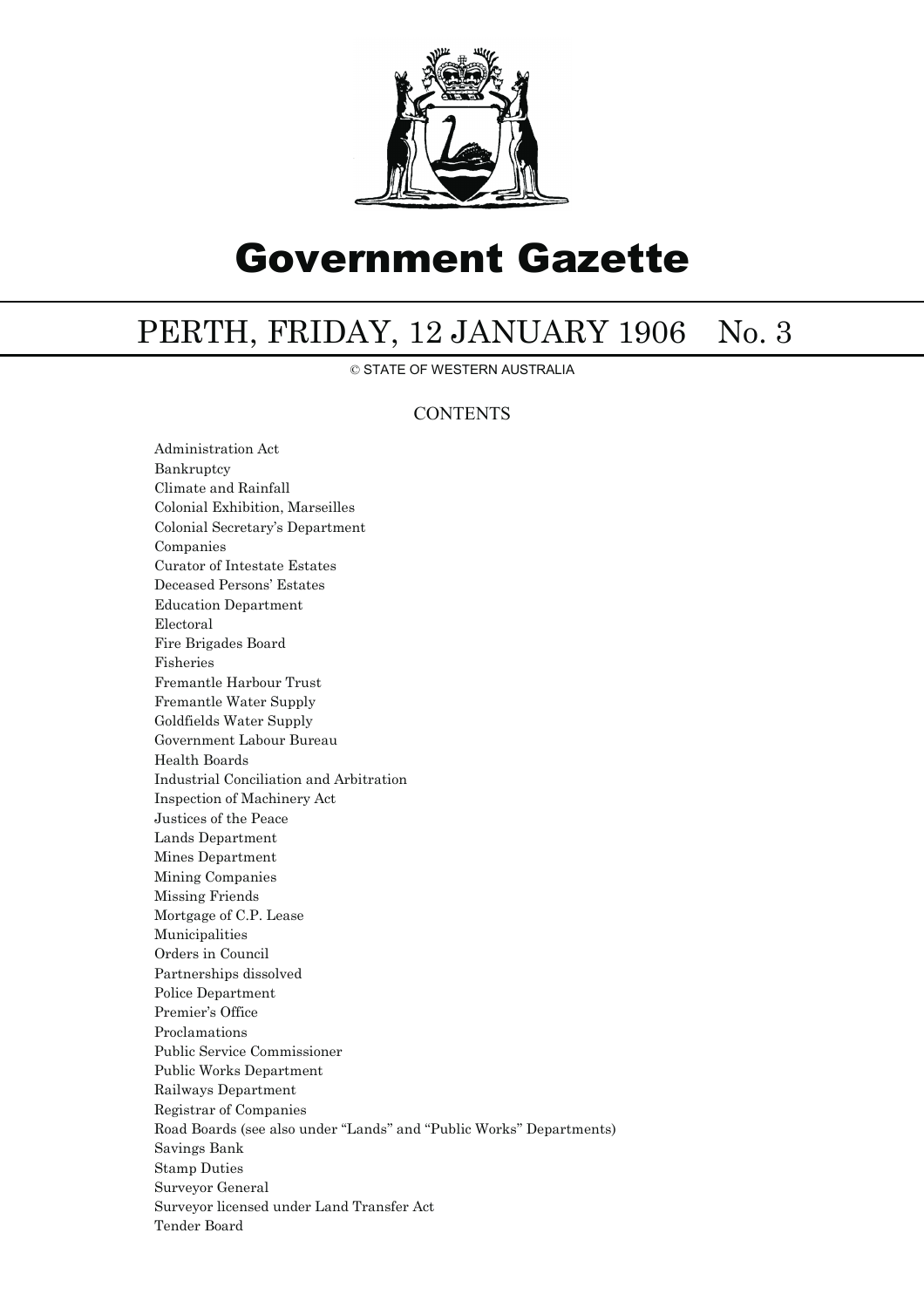

# Government Gazette

## PERTH, FRIDAY, 12 JANUARY 1906 No. 3

© STATE OF WESTERN AUSTRALIA

### **CONTENTS**

Administration Act Bankruptcy Climate and Rainfall Colonial Exhibition, Marseilles Colonial Secretary's Department Companies Curator of Intestate Estates Deceased Persons' Estates Education Department Electoral Fire Brigades Board Fisheries Fremantle Harbour Trust Fremantle Water Supply Goldfields Water Supply Government Labour Bureau Health Boards Industrial Conciliation and Arbitration Inspection of Machinery Act Justices of the Peace Lands Department Mines Department Mining Companies Missing Friends Mortgage of C.P. Lease Municipalities Orders in Council Partnerships dissolved Police Department Premier's Office Proclamations Public Service Commissioner Public Works Department Railways Department Registrar of Companies Road Boards (see also under ''Lands'' and ''Public Works'' Departments) Savings Bank Stamp Duties Surveyor General Surveyor licensed under Land Transfer Act Tender Board